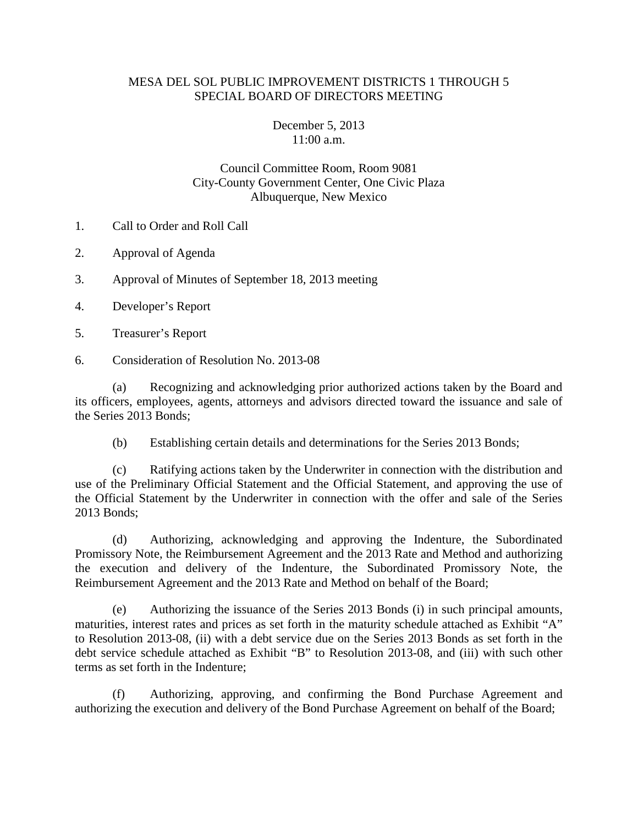## MESA DEL SOL PUBLIC IMPROVEMENT DISTRICTS 1 THROUGH 5 SPECIAL BOARD OF DIRECTORS MEETING

## December 5, 2013 11:00 a.m.

## Council Committee Room, Room 9081 City-County Government Center, One Civic Plaza Albuquerque, New Mexico

- 1. Call to Order and Roll Call
- 2. Approval of Agenda
- 3. Approval of Minutes of September 18, 2013 meeting
- 4. Developer's Report
- 5. Treasurer's Report
- 6. Consideration of Resolution No. 2013-08

(a) Recognizing and acknowledging prior authorized actions taken by the Board and its officers, employees, agents, attorneys and advisors directed toward the issuance and sale of the Series 2013 Bonds;

(b) Establishing certain details and determinations for the Series 2013 Bonds;

(c) Ratifying actions taken by the Underwriter in connection with the distribution and use of the Preliminary Official Statement and the Official Statement, and approving the use of the Official Statement by the Underwriter in connection with the offer and sale of the Series 2013 Bonds;

(d) Authorizing, acknowledging and approving the Indenture, the Subordinated Promissory Note, the Reimbursement Agreement and the 2013 Rate and Method and authorizing the execution and delivery of the Indenture, the Subordinated Promissory Note, the Reimbursement Agreement and the 2013 Rate and Method on behalf of the Board;

(e) Authorizing the issuance of the Series 2013 Bonds (i) in such principal amounts, maturities, interest rates and prices as set forth in the maturity schedule attached as Exhibit "A" to Resolution 2013-08, (ii) with a debt service due on the Series 2013 Bonds as set forth in the debt service schedule attached as Exhibit "B" to Resolution 2013-08, and (iii) with such other terms as set forth in the Indenture;

(f) Authorizing, approving, and confirming the Bond Purchase Agreement and authorizing the execution and delivery of the Bond Purchase Agreement on behalf of the Board;